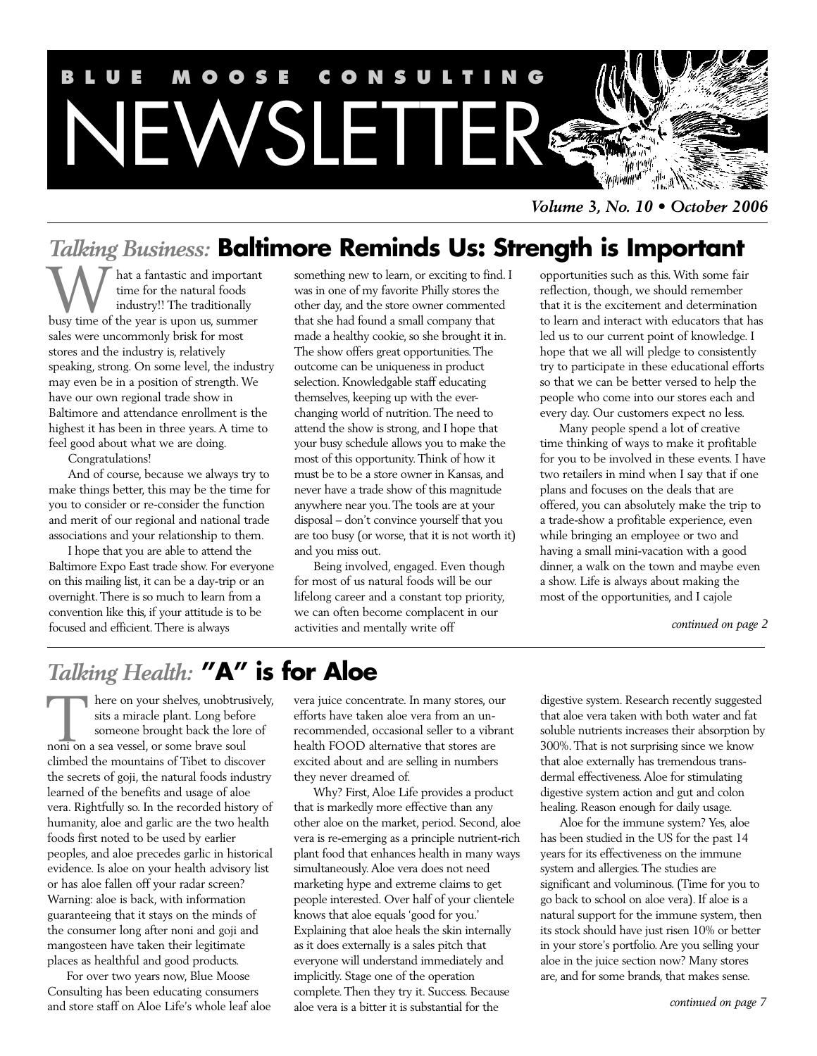

*Volume 3, No. 10 • October 2006*

## *Talking Business:* **Baltimore Reminds Us: Strength is Important**

T hat a fantastic and important time for the natural foods industry!! The traditionally **busy time** for the natural foods industry!! The traditionally busy time of the year is upon us, summer sales were uncommonly brisk for most stores and the industry is, relatively speaking, strong. On some level, the industry may even be in a position of strength. We have our own regional trade show in Baltimore and attendance enrollment is the highest it has been in three years. A time to feel good about what we are doing.

Congratulations!

And of course, because we always try to make things better, this may be the time for you to consider or re-consider the function and merit of our regional and national trade associations and your relationship to them.

I hope that you are able to attend the Baltimore Expo East trade show. For everyone on this mailing list, it can be a day-trip or an overnight. There is so much to learn from a convention like this, if your attitude is to be focused and efficient. There is always

something new to learn, or exciting to find. I was in one of my favorite Philly stores the other day, and the store owner commented that she had found a small company that made a healthy cookie, so she brought it in. The show offers great opportunities. The outcome can be uniqueness in product selection. Knowledgable staff educating themselves, keeping up with the everchanging world of nutrition. The need to attend the show is strong, and I hope that your busy schedule allows you to make the most of this opportunity. Think of how it must be to be a store owner in Kansas, and never have a trade show of this magnitude anywhere near you. The tools are at your disposal – don't convince yourself that you are too busy (or worse, that it is not worth it) and you miss out.

Being involved, engaged. Even though for most of us natural foods will be our lifelong career and a constant top priority, we can often become complacent in our activities and mentally write off

opportunities such as this. With some fair reflection, though, we should remember that it is the excitement and determination to learn and interact with educators that has led us to our current point of knowledge. I hope that we all will pledge to consistently try to participate in these educational efforts so that we can be better versed to help the people who come into our stores each and every day. Our customers expect no less.

Many people spend a lot of creative time thinking of ways to make it profitable for you to be involved in these events. I have two retailers in mind when I say that if one plans and focuses on the deals that are offered, you can absolutely make the trip to a trade-show a profitable experience, even while bringing an employee or two and having a small mini-vacation with a good dinner, a walk on the town and maybe even a show. Life is always about making the most of the opportunities, and I cajole

*continued on page 2*

## *Talking Health:* **"A" is for Aloe**

here on your shelves, unobtrusively, sits a miracle plant. Long before someone brought back the lore of There on your shelves, unobtrustis a miracle plant. Long before someone brought back the lor<br>noni on a sea vessel, or some brave soul climbed the mountains of Tibet to discover the secrets of goji, the natural foods industry learned of the benefits and usage of aloe vera. Rightfully so. In the recorded history of humanity, aloe and garlic are the two health foods first noted to be used by earlier peoples, and aloe precedes garlic in historical evidence. Is aloe on your health advisory list or has aloe fallen off your radar screen? Warning: aloe is back, with information guaranteeing that it stays on the minds of the consumer long after noni and goji and mangosteen have taken their legitimate places as healthful and good products.

For over two years now, Blue Moose Consulting has been educating consumers and store staff on Aloe Life's whole leaf aloe vera juice concentrate. In many stores, our efforts have taken aloe vera from an unrecommended, occasional seller to a vibrant health FOOD alternative that stores are excited about and are selling in numbers they never dreamed of.

Why? First, Aloe Life provides a product that is markedly more effective than any other aloe on the market, period. Second, aloe vera is re-emerging as a principle nutrient-rich plant food that enhances health in many ways simultaneously. Aloe vera does not need marketing hype and extreme claims to get people interested. Over half of your clientele knows that aloe equals 'good for you.' Explaining that aloe heals the skin internally as it does externally is a sales pitch that everyone will understand immediately and implicitly. Stage one of the operation complete. Then they try it. Success. Because aloe vera is a bitter it is substantial for the

digestive system. Research recently suggested that aloe vera taken with both water and fat soluble nutrients increases their absorption by 300%. That is not surprising since we know that aloe externally has tremendous transdermal effectiveness. Aloe for stimulating digestive system action and gut and colon healing. Reason enough for daily usage.

Aloe for the immune system? Yes, aloe has been studied in the US for the past 14 years for its effectiveness on the immune system and allergies. The studies are significant and voluminous. (Time for you to go back to school on aloe vera). If aloe is a natural support for the immune system, then its stock should have just risen 10% or better in your store's portfolio. Are you selling your aloe in the juice section now? Many stores are, and for some brands, that makes sense.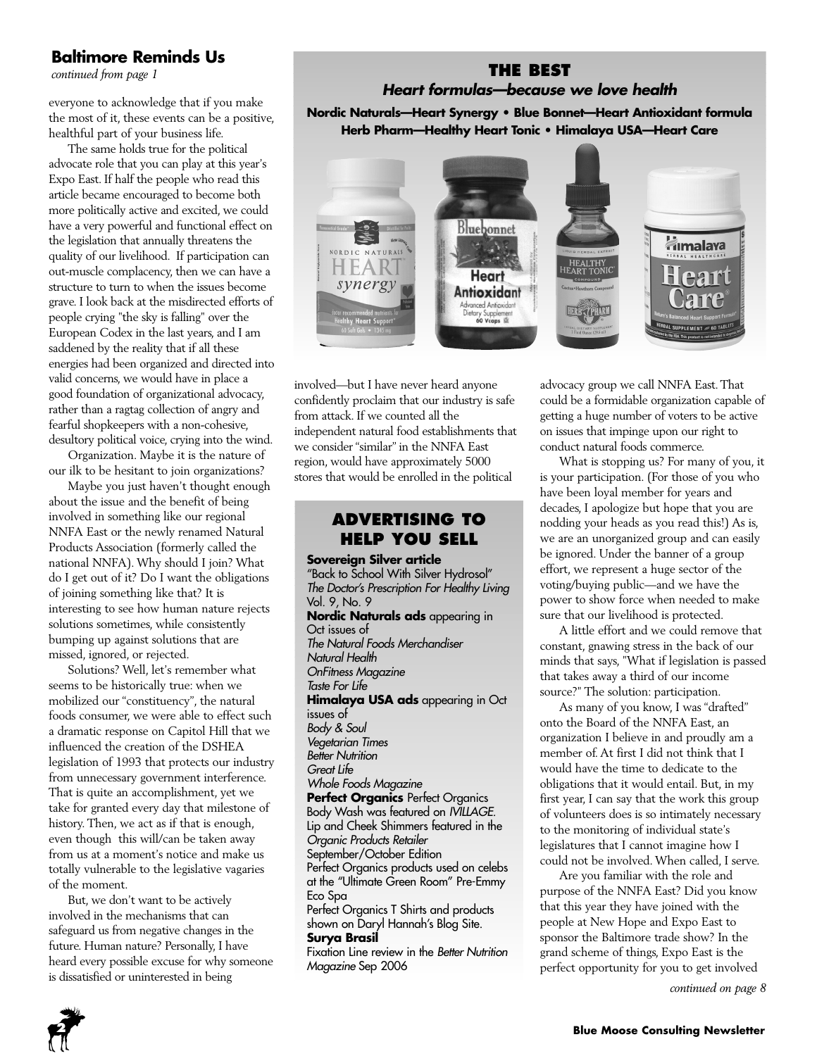## **Baltimore Reminds Us**

*continued from page 1*

everyone to acknowledge that if you make the most of it, these events can be a positive, healthful part of your business life.

The same holds true for the political advocate role that you can play at this year's Expo East. If half the people who read this article became encouraged to become both more politically active and excited, we could have a very powerful and functional effect on the legislation that annually threatens the quality of our livelihood. If participation can out-muscle complacency, then we can have a structure to turn to when the issues become grave. I look back at the misdirected efforts of people crying "the sky is falling" over the European Codex in the last years, and I am saddened by the reality that if all these energies had been organized and directed into valid concerns, we would have in place a good foundation of organizational advocacy, rather than a ragtag collection of angry and fearful shopkeepers with a non-cohesive, desultory political voice, crying into the wind.

Organization. Maybe it is the nature of our ilk to be hesitant to join organizations?

Maybe you just haven't thought enough about the issue and the benefit of being involved in something like our regional NNFA East or the newly renamed Natural Products Association (formerly called the national NNFA). Why should I join? What do I get out of it? Do I want the obligations of joining something like that? It is interesting to see how human nature rejects solutions sometimes, while consistently bumping up against solutions that are missed, ignored, or rejected.

Solutions? Well, let's remember what seems to be historically true: when we mobilized our "constituency", the natural foods consumer, we were able to effect such a dramatic response on Capitol Hill that we influenced the creation of the DSHEA legislation of 1993 that protects our industry from unnecessary government interference. That is quite an accomplishment, yet we take for granted every day that milestone of history. Then, we act as if that is enough, even though this will/can be taken away from us at a moment's notice and make us totally vulnerable to the legislative vagaries of the moment.

But, we don't want to be actively involved in the mechanisms that can safeguard us from negative changes in the future. Human nature? Personally, I have heard every possible excuse for why someone is dissatisfied or uninterested in being

#### **THE BEST** *Heart formulas—because we love health*

**Nordic Naturals—Heart Synergy • Blue Bonnet—Heart Antioxidant formula Herb Pharm—Healthy Heart Tonic • Himalaya USA—Heart Care**



involved—but I have never heard anyone confidently proclaim that our industry is safe from attack. If we counted all the independent natural food establishments that we consider "similar" in the NNFA East region, would have approximately 5000 stores that would be enrolled in the political

#### **ADVERTISING TO HELP YOU SELL**

**Sovereign Silver article** "Back to School With Silver Hydrosol" *The Doctor's Prescription For Healthy Living* Vol. 9, No. 9 **Nordic Naturals ads** appearing in Oct issues of *The Natural Foods Merchandiser Natural Health OnFitness Magazine Taste For Life* **Himalaya USA ads** appearing in Oct issues of *Body & Soul Vegetarian Times Better Nutrition Great Life Whole Foods Magazine*  **Perfect Organics Perfect Organics** Body Wash was featured on *IVILLAGE.*  Lip and Cheek Shimmers featured in the *Organic Products Retailer* September/October Edition Perfect Organics products used on celebs at the "Ultimate Green Room" Pre-Emmy Eco Spa Perfect Organics T Shirts and products shown on Daryl Hannah's Blog Site. **Surya Brasil** 

Fixation Line review in the *Better Nutrition Magazine* Sep 2006

advocacy group we call NNFA East. That could be a formidable organization capable of getting a huge number of voters to be active on issues that impinge upon our right to conduct natural foods commerce.

What is stopping us? For many of you, it is your participation. (For those of you who have been loyal member for years and decades, I apologize but hope that you are nodding your heads as you read this!) As is, we are an unorganized group and can easily be ignored. Under the banner of a group effort, we represent a huge sector of the voting/buying public—and we have the power to show force when needed to make sure that our livelihood is protected.

A little effort and we could remove that constant, gnawing stress in the back of our minds that says, "What if legislation is passed that takes away a third of our income source?" The solution: participation.

As many of you know, I was "drafted" onto the Board of the NNFA East, an organization I believe in and proudly am a member of. At first I did not think that I would have the time to dedicate to the obligations that it would entail. But, in my first year, I can say that the work this group of volunteers does is so intimately necessary to the monitoring of individual state's legislatures that I cannot imagine how I could not be involved. When called, I serve.

Are you familiar with the role and purpose of the NNFA East? Did you know that this year they have joined with the people at New Hope and Expo East to sponsor the Baltimore trade show? In the grand scheme of things, Expo East is the perfect opportunity for you to get involved

*continued on page 8*

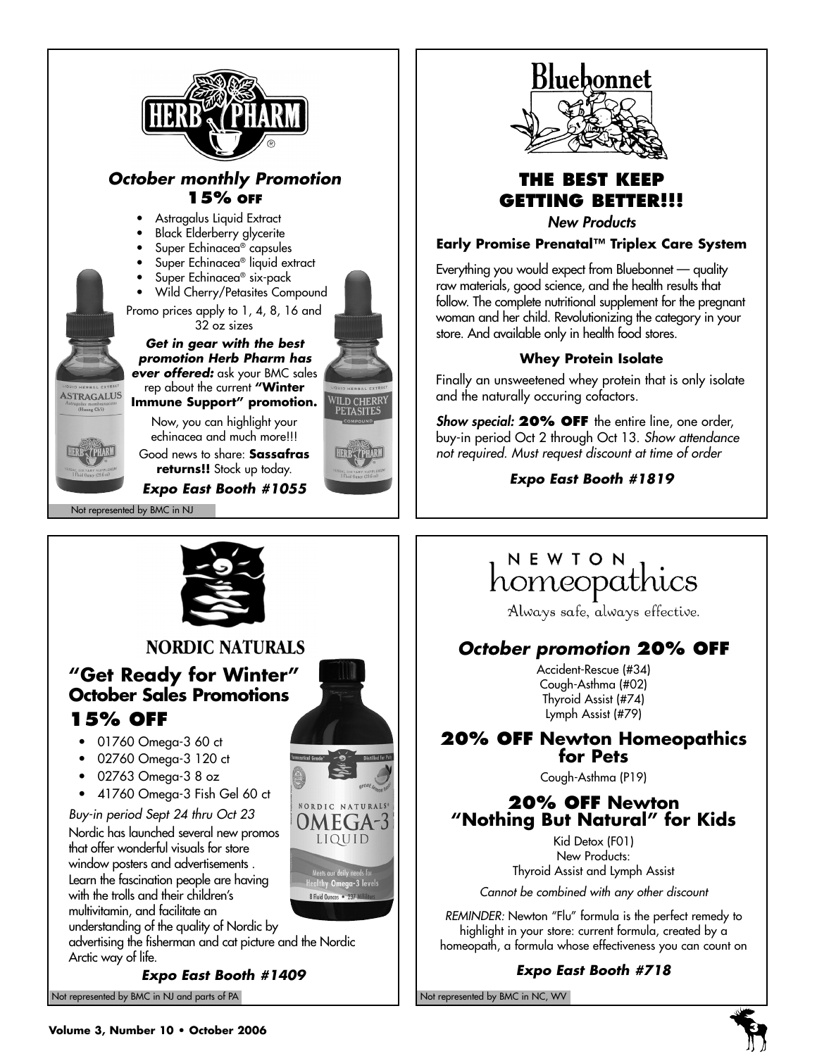



## **THE BEST KEEP GETTING BETTER!!!**

*New Products*

**Early Promise Prenatal™ Triplex Care System** 

Everything you would expect from Bluebonnet — quality raw materials, good science, and the health results that follow. The complete nutritional supplement for the pregnant woman and her child. Revolutionizing the category in your store. And available only in health food stores.

#### **Whey Protein Isolate**

Finally an unsweetened whey protein that is only isolate and the naturally occuring cofactors.

*Show special:* **20% OFF** the entire line, one order, buy-in period Oct 2 through Oct 13. *Show attendance not required. Must request discount at time of order*

*Expo East Booth #1819*

## NEWTON homeopathics

Always safe, always effective.

## *October promotion* **20% OFF**

Accident-Rescue (#34) Cough-Asthma (#02) Thyroid Assist (#74) Lymph Assist (#79)

# **20% OFF Newton Homeopathics for Pets**

Cough-Asthma (P19)

## **20% OFF Newton "Nothing But Natural" for Kids**

Kid Detox (F01) New Products: Thyroid Assist and Lymph Assist

*Cannot be combined with any other discount*

*REMINDER:* Newton "Flu" formula is the perfect remedy to highlight in your store: current formula, created by a homeopath, a formula whose effectiveness you can count on

#### *Expo East Booth #718*



## **NORDIC NATURALS**

## **"Get Ready for Winter" October Sales Promotions 15% OFF**

- 01760 Omega-3 60 ct
- 02760 Omega-3 120 ct
- 02763 Omega-3 8 oz
- 41760 Omega-3 Fish Gel 60 ct

*Buy-in period Sept 24 thru Oct 23* 

Nordic has launched several new promos that offer wonderful visuals for store window posters and advertisements . Learn the fascination people are having with the trolls and their children's multivitamin, and facilitate an

understanding of the quality of Nordic by

advertising the fisherman and cat picture and the Nordic Arctic way of life.

*Expo East Booth #1409*

OMEGA-LIQUID

> oor aany neeas ior<br>1 **Omega-3** levels 8 Fluid Ounces . 237 Mil

Not represented by BMC in NJ and parts of PA Not represented by BMC in NC, WV

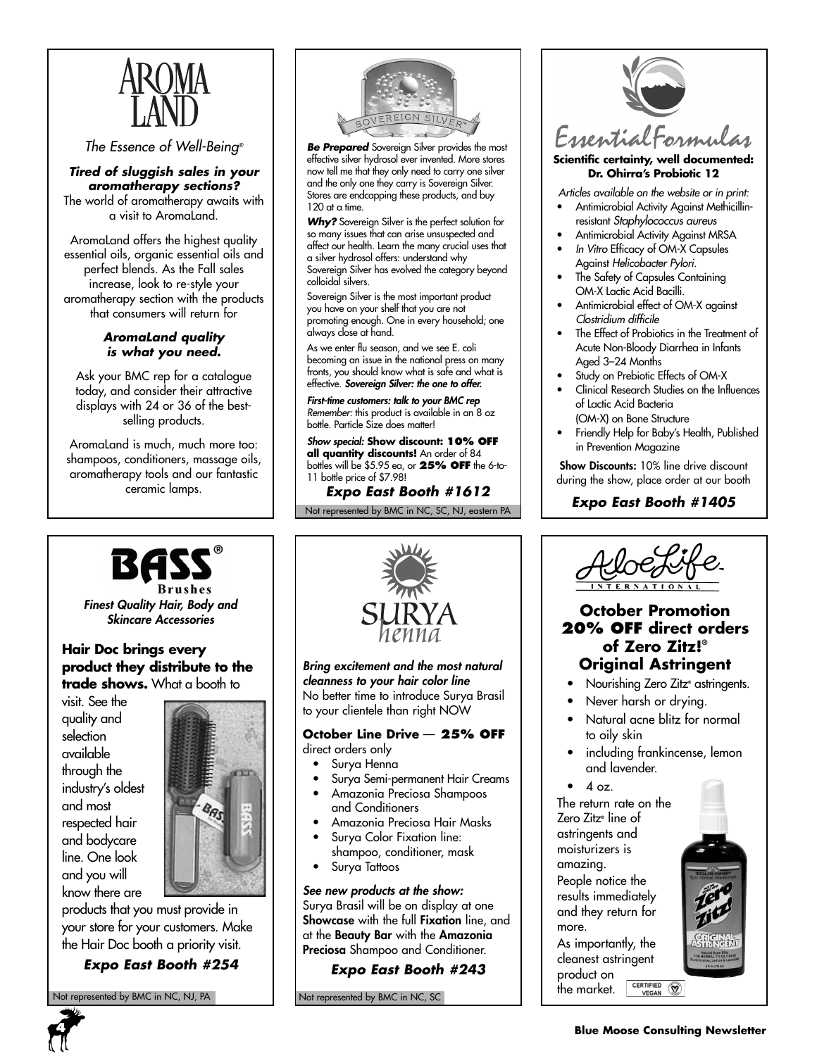

#### *The Essence of Well-Being®*

*Tired of sluggish sales in your aromatherapy sections?* The world of aromatherapy awaits with a visit to AromaLand.

AromaLand offers the highest quality essential oils, organic essential oils and perfect blends. As the Fall sales increase, look to re-style your aromatherapy section with the products that consumers will return for

#### *AromaLand quality is what you need.*

Ask your BMC rep for a catalogue today, and consider their attractive displays with 24 or 36 of the bestselling products.

AromaLand is much, much more too: shampoos, conditioners, massage oils, aromatherapy tools and our fantastic ceramic lamps.



*Be Prepared* Sovereign Silver provides the most effective silver hydrosol ever invented. More stores now tell me that they only need to carry one silver and the only one they carry is Sovereign Silver. Stores are endcapping these products, and buy 120 at a time.

*Why?* Sovereign Silver is the perfect solution for so many issues that can arise unsuspected and affect our health. Learn the many crucial uses that a silver hydrosol offers: understand why Sovereign Silver has evolved the category beyond colloidal silvers.

Sovereign Silver is the most important product you have on your shelf that you are not promoting enough. One in every household; one always close at hand.

As we enter flu season, and we see E. coli becoming an issue in the national press on many fronts, you should know what is safe and what is effective. *Sovereign Silver: the one to offer.*

*First-time customers: talk to your BMC rep Remember:* this product is available in an 8 oz bottle. Particle Size does matter!

*Show special:* **Show discount: 10% OFF all quantity discounts!** An order of 84 bottles will be \$5.95 ea, or **25% OFF** the 6-to-11 bottle price of \$7.98!

## *Expo East Booth #1612*

Not represented by BMC in NC, SC, NJ, eastern PA



#### **Scientific certainty, well documented: Dr. Ohirra's Probiotic 12**

*Articles available on the website or in print:*

- Antimicrobial Activity Against Methicillinresistant *Staphylococcus aureus*
- Antimicrobial Activity Against MRSA • *In Vitro* Efficacy of OM-X Capsules
- Against *Helicobacter Pylori.* The Safety of Capsules Containing OM-X Lactic Acid Bacilli.
- Antimicrobial effect of OM-X against *Clostridium difficile*
- The Effect of Probiotics in the Treatment of Acute Non-Bloody Diarrhea in Infants Aged 3–24 Months
- Study on Prebiotic Effects of OM-X
- Clinical Research Studies on the Influences of Lactic Acid Bacteria (OM-X) on Bone Structure
- Friendly Help for Baby's Health, Published in Prevention Magazine

**Show Discounts:** 10% line drive discount during the show, place order at our booth

## *Expo East Booth #1405*



*Finest Quality Hair, Body and*

#### **Hair Doc brings every product they distribute to the trade shows.** What a booth to

visit. See the quality and selection available through the industry's oldest and most respected hair and bodycare line. One look and you will know there are



products that you must provide in your store for your customers. Make the Hair Doc booth a priority visit.

*Expo East Booth #254*

Not represented by BMC in NC, NJ, PA Not represented by BMC in NC, SC



*Bring excitement and the most natural cleanness to your hair color line* No better time to introduce Surya Brasil to your clientele than right NOW

#### **October Line Drive** — **25% OFF** direct orders only

- Surya Henna
- Surya Semi-permanent Hair Creams
- Amazonia Preciosa Shampoos and Conditioners
- Amazonia Preciosa Hair Masks
- Surya Color Fixation line: shampoo, conditioner, mask
- Surya Tattoos

#### *See new products at the show:*

Surya Brasil will be on display at one **Showcase** with the full **Fixation** line, and at the **Beauty Bar** with the **Amazonia Preciosa** Shampoo and Conditioner.

#### *Expo East Booth #243*



## *Skincare Accessories*<br> *SURYA* **Definition October Promotion**<br> *SURYA* **Definition 20% OFF** direct order<br> **Definition 20% OFF** direct order<br> **Definition** of Zero Zitz!® **20% OFF direct orders of Zero Zitz!® Original Astringent**

- Nourishing Zero Zitz<sup>®</sup> astringents.
- Never harsh or drying.
- Natural acne blitz for normal to oily skin
- including frankincense, lemon and lavender.
- $4 oz.$

The return rate on the Zero Zitz**®** line of astringents and moisturizers is amazing.

People notice the results immediately and they return for more.

As importantly, the cleanest astringent product on CERTIFIED (W) the market.

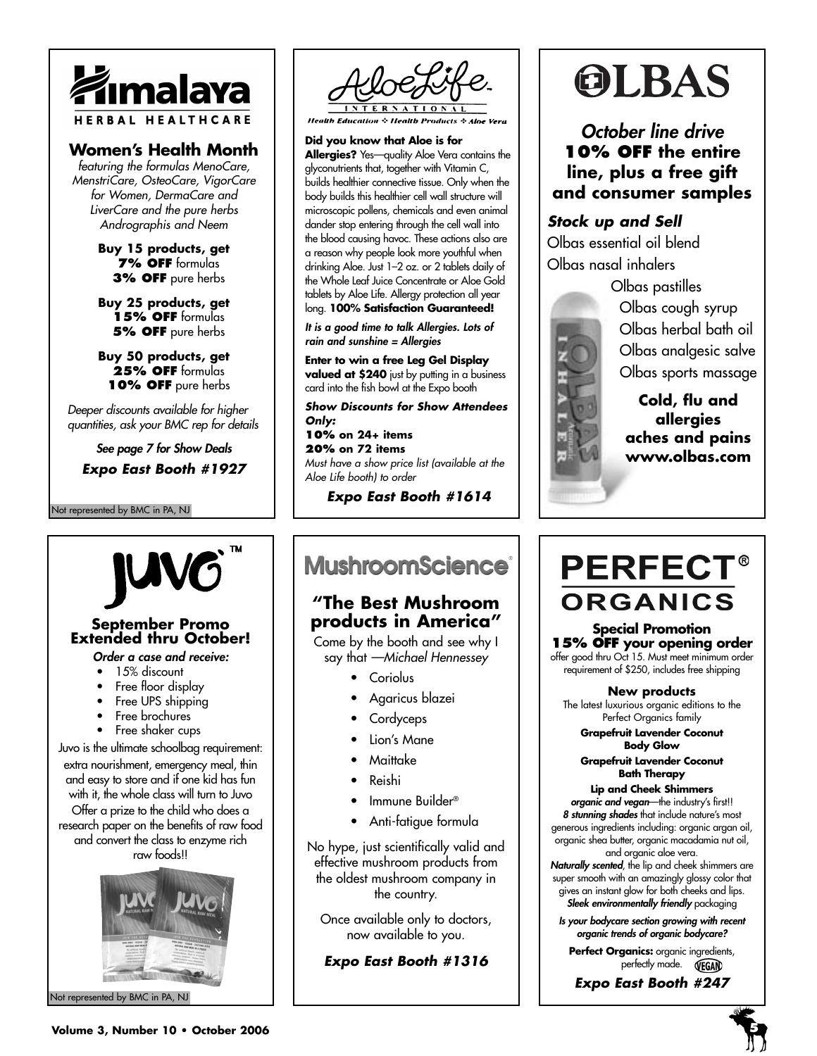

### **Women's Health Month**

*featuring the formulas MenoCare, MenstriCare, OsteoCare, VigorCare for Women, DermaCare and LiverCare and the pure herbs Andrographis and Neem*

> **Buy 15 products, get 7% OFF** formulas **3% OFF** pure herbs

> **Buy 25 products, get 15% OFF** formulas **5% OFF** pure herbs

> **Buy 50 products, get**  25% OFF formulas **10% OFF** pure herbs

*Deeper discounts available for higher quantities, ask your BMC rep for details*

*See page 7 for Show Deals*

*Expo East Booth #1927*

Not represented by BMC in PA, NJ



**Health Education & Health Products & Aloe Vera** 

**Did you know that Aloe is for Allergies?** Yes—quality Aloe Vera contains the glyconutrients that, together with Vitamin C, builds healthier connective tissue. Only when the body builds this healthier cell wall structure will microscopic pollens, chemicals and even animal dander stop entering through the cell wall into the blood causing havoc. These actions also are a reason why people look more youthful when drinking Aloe. Just 1–2 oz. or 2 tablets daily of the Whole Leaf Juice Concentrate or Aloe Gold tablets by Aloe Life. Allergy protection all year long. **100% Satisfaction Guaranteed!**

*It is a good time to talk Allergies. Lots of rain and sunshine = Allergies*

**Enter to win a free Leg Gel Display valued at \$240** just by putting in a business card into the fish bowl at the Expo booth

*Show Discounts for Show Attendees Only:*  **10% on 24+ items 20% on 72 items** *Must have a show price list (available at the Aloe Life booth) to order* 

*Expo East Booth #1614*

# OLBAS

*October line drive* **10% OFF the entire line, plus a free gift and consumer samples**

## *Stock up and Sell*

Olbas essential oil blend Olbas nasal inhalers

Olbas pastilles Olbas cough syrup Olbas herbal bath oil Olbas analgesic salve Olbas sports massage

**Cold, flu and allergies aches and pains www.olbas.com**



# **September Promo Extended thru October!**

- *Order a case and receive:*
- 15% discount
- Free floor display
- Free UPS shipping
- Free brochures
- Free shaker cups

Juvo is the ultimate schoolbag requirement: extra nourishment, emergency meal, thin and easy to store and if one kid has fun with it, the whole class will turn to Juvo Offer a prize to the child who does a research paper on the benefits of raw food and convert the class to enzyme rich raw foods!!



Not represented by BMC in PA, NJ

## **MushroomScience**®

## **"The Best Mushroom products in America"**

Come by the booth and see why I say that *—Michael Hennessey*

- Coriolus
- Agaricus blazei
- Cordyceps
- Lion's Mane
- Maittake
- Reishi
- Immune Builder®
- Anti-fatigue formula

No hype, just scientifically valid and effective mushroom products from the oldest mushroom company in the country.

Once available only to doctors, now available to you.

*Expo East Booth #1316*

# **PERFECT® ORGANICS**

**Special Promotion 15% OFF your opening order** offer good thru Oct 15. Must meet minimum order

requirement of \$250, includes free shipping

**New products** The latest luxurious organic editions to the Perfect Organics family

**Grapefruit Lavender Coconut Body Glow**

**Grapefruit Lavender Coconut Bath Therapy**

**Lip and Cheek Shimmers**  *organic and vegan*—the industry's first!! *8 stunning shades* that include nature's most generous ingredients including: organic argan oil, organic shea butter, organic macadamia nut oil,

and organic aloe vera. *Naturally scented*, the lip and cheek shimmers are super smooth with an amazingly glossy color that gives an instant glow for both cheeks and lips. *Sleek environmentally friendly* packaging

*Is your bodycare section growing with recent organic trends of organic bodycare?*

Perfect Organics: organic ingredients, perfectly made. **WEGAN** 

*Expo East Booth #247*

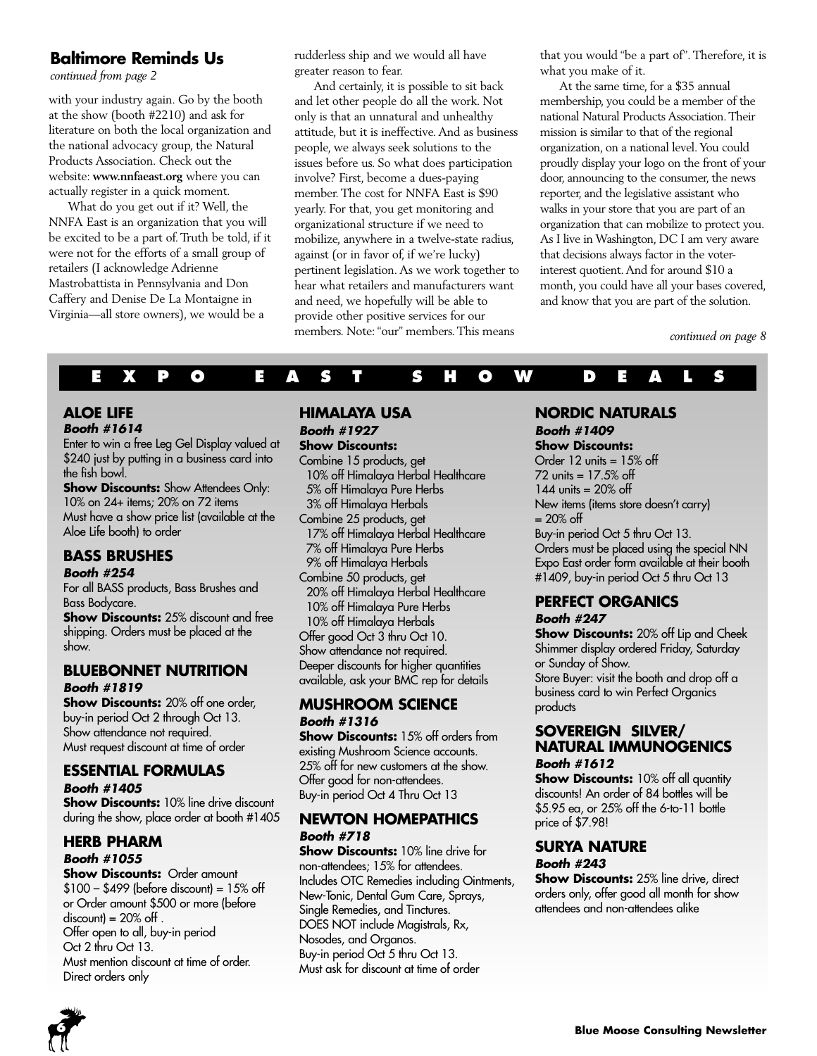### **Baltimore Reminds Us**

*continued from page 2*

with your industry again. Go by the booth at the show (booth #2210) and ask for literature on both the local organization and the national advocacy group, the Natural Products Association. Check out the website: **www.nnfaeast.org** where you can actually register in a quick moment.

What do you get out if it? Well, the NNFA East is an organization that you will be excited to be a part of. Truth be told, if it were not for the efforts of a small group of retailers (I acknowledge Adrienne Mastrobattista in Pennsylvania and Don Caffery and Denise De La Montaigne in Virginia—all store owners), we would be a

rudderless ship and we would all have greater reason to fear.

And certainly, it is possible to sit back and let other people do all the work. Not only is that an unnatural and unhealthy attitude, but it is ineffective. And as business people, we always seek solutions to the issues before us. So what does participation involve? First, become a dues-paying member. The cost for NNFA East is \$90 yearly. For that, you get monitoring and organizational structure if we need to mobilize, anywhere in a twelve-state radius, against (or in favor of, if we're lucky) pertinent legislation. As we work together to hear what retailers and manufacturers want and need, we hopefully will be able to provide other positive services for our members. Note: "our" members. This means

that you would "be a part of". Therefore, it is what you make of it.

At the same time, for a \$35 annual membership, you could be a member of the national Natural Products Association. Their mission is similar to that of the regional organization, on a national level. You could proudly display your logo on the front of your door, announcing to the consumer, the news reporter, and the legislative assistant who walks in your store that you are part of an organization that can mobilize to protect you. As I live in Washington, DC I am very aware that decisions always factor in the voterinterest quotient. And for around \$10 a month, you could have all your bases covered, and know that you are part of the solution.

*continued on page 8*

## **EXPO EAST SHOW DEALS**

#### **ALOE LIFE**  *Booth #1614*

Enter to win a free Leg Gel Display valued at \$240 just by putting in a business card into the fish bowl.

**Show Discounts:** Show Attendees Only: 10% on 24+ items; 20% on 72 items Must have a show price list (available at the Aloe Life booth) to order

## **BASS BRUSHES**

#### *Booth #254*

For all BASS products, Bass Brushes and Bass Bodycare.

**Show Discounts:** 25% discount and free shipping. Orders must be placed at the show.

#### **BLUEBONNET NUTRITION** *Booth #1819*

**Show Discounts:** 20% off one order, buy-in period Oct 2 through Oct 13. Show attendance not required. Must request discount at time of order

## **ESSENTIAL FORMULAS**

#### *Booth #1405*

**Show Discounts:** 10% line drive discount during the show, place order at booth #1405

#### **HERB PHARM**  *Booth #1055*

#### **Show Discounts: Order amount**  $$100 - $499$  (before discount) =  $15\%$  off or Order amount \$500 or more (before  $discount$ ) = 20% off. Offer open to all, buy-in period Oct 2 thru Oct 13.

Must mention discount at time of order. Direct orders only

#### **HIMALAYA USA** *Booth #1927*

**Show Discounts:** Combine 15 products, get 10% off Himalaya Herbal Healthcare 5% off Himalaya Pure Herbs 3% off Himalaya Herbals Combine 25 products, get 17% off Himalaya Herbal Healthcare 7% off Himalaya Pure Herbs 9% off Himalaya Herbals Combine 50 products, get 20% off Himalaya Herbal Healthcare 10% off Himalaya Pure Herbs 10% off Himalaya Herbals Offer good Oct 3 thru Oct 10. Show attendance not required. Deeper discounts for higher quantities available, ask your BMC rep for details

#### **MUSHROOM SCIENCE** *Booth #1316*

**Show Discounts:** 15% off orders from existing Mushroom Science accounts. 25% off for new customers at the show. Offer good for non-attendees. Buy-in period Oct 4 Thru Oct 13

#### **NEWTON HOMEPATHICS** *Booth #718*

**Show Discounts:** 10% line drive for non-attendees; 15% for attendees. Includes OTC Remedies including Ointments, New-Tonic, Dental Gum Care, Sprays, Single Remedies, and Tinctures. DOES NOT include Magistrals, Rx, Nosodes, and Organos. Buy-in period Oct 5 thru Oct 13. Must ask for discount at time of order

#### **NORDIC NATURALS** *Booth #1409*

## **Show Discounts:**

Order 12 units = 15% off 72 units = 17.5% off 144 units  $= 20\%$  off New items (items store doesn't carry)  $= 20\% \text{ off}$ Buy-in period Oct 5 thru Oct 13. Orders must be placed using the special NN Expo East order form available at their booth #1409, buy-in period Oct 5 thru Oct 13

## **PERFECT ORGANICS**

#### *Booth #247*

**Show Discounts:** 20% off Lip and Cheek Shimmer display ordered Friday, Saturday or Sunday of Show. Store Buyer: visit the booth and drop off a business card to win Perfect Organics products

#### **SOVEREIGN SILVER/ NATURAL IMMUNOGENICS**  *Booth #1612*

**Show Discounts:** 10% off all quantity discounts! An order of 84 bottles will be \$5.95 ea, or 25% off the 6-to-11 bottle price of \$7.98!

#### **SURYA NATURE**  *Booth #243*

**Show Discounts:** 25% line drive, direct orders only, offer good all month for show attendees and non-attendees alike

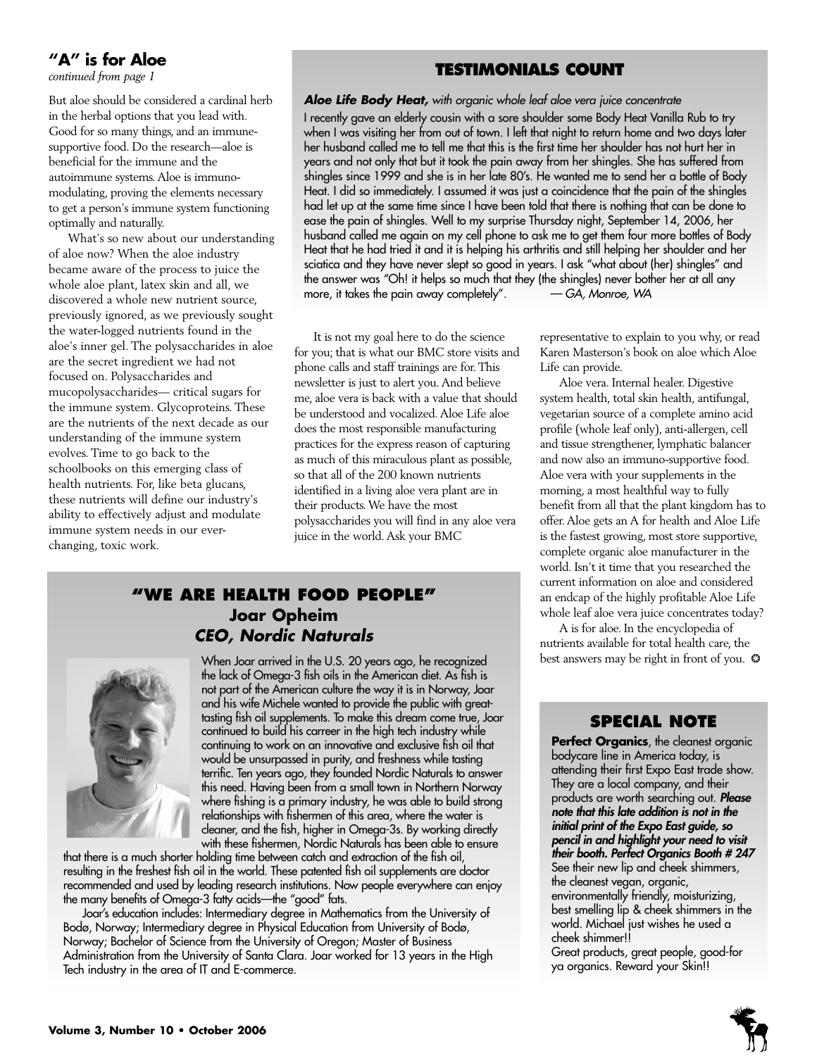## **"A" is for Aloe**

*continued from page 1*

But aloe should be considered a cardinal herb in the herbal options that you lead with. Good for so many things, and an immunesupportive food. Do the research—aloe is beneficial for the immune and the autoimmune systems. Aloe is immunomodulating, proving the elements necessary to get a person's immune system functioning optimally and naturally.

What's so new about our understanding of aloe now? When the aloe industry became aware of the process to juice the whole aloe plant, latex skin and all, we discovered a whole new nutrient source, previously ignored, as we previously sought the water-logged nutrients found in the aloe's inner gel. The polysaccharides in aloe are the secret ingredient we had not focused on. Polysaccharides and mucopolysaccharides— critical sugars for the immune system. Glycoproteins. These are the nutrients of the next decade as our understanding of the immune system evolves. Time to go back to the schoolbooks on this emerging class of health nutrients. For, like beta glucans, these nutrients will define our industry's ability to effectively adjust and modulate immune system needs in our everchanging, toxic work.

### **TESTIMONIALS COUNT**

*Aloe Life Body Heat, with organic whole leaf aloe vera juice concentrate* I recently gave an elderly cousin with a sore shoulder some Body Heat Vanilla Rub to try when I was visiting her from out of town. I left that night to return home and two days later her husband called me to tell me that this is the first time her shoulder has not hurt her in years and not only that but it took the pain away from her shingles. She has suffered from shingles since 1999 and she is in her late 80's. He wanted me to send her a bottle of Body Heat. I did so immediately. I assumed it was just a coincidence that the pain of the shingles had let up at the same time since I have been told that there is nothing that can be done to ease the pain of shingles. Well to my surprise Thursday night, September 14, 2006, her husband called me again on my cell phone to ask me to get them four more bottles of Body Heat that he had tried it and it is helping his arthritis and still helping her shoulder and her sciatica and they have never slept so good in years. I ask "what about (her) shingles" and the answer was "Oh! it helps so much that they (the shingles) never bother her at all any<br>more, it takes the pain away completely".  $-GA$ , Monroe, WA more, it takes the pain away completely".

It is not my goal here to do the science for you; that is what our BMC store visits and phone calls and staff trainings are for. This newsletter is just to alert you. And believe me, aloe vera is back with a value that should be understood and vocalized. Aloe Life aloe does the most responsible manufacturing practices for the express reason of capturing as much of this miraculous plant as possible, so that all of the 200 known nutrients identified in a living aloe vera plant are in their products. We have the most polysaccharides you will find in any aloe vera juice in the world. Ask your BMC

## **"WE ARE HEALTH FOOD PEOPLE" Joar Opheim** *CEO, Nordic Naturals*



When Joar arrived in the U.S. 20 years ago, he recognized the lack of Omega-3 fish oils in the American diet. As fish is not part of the American culture the way it is in Norway, Joar and his wife Michele wanted to provide the public with greattasting fish oil supplements. To make this dream come true, Joar continued to build his carreer in the high tech industry while continuing to work on an innovative and exclusive fish oil that would be unsurpassed in purity, and freshness while tasting terrific. Ten years ago, they founded Nordic Naturals to answer this need. Having been from a small town in Northern Norway where fishing is a primary industry, he was able to build strong relationships with fishermen of this area, where the water is cleaner, and the fish, higher in Omega-3s. By working directly with these fishermen, Nordic Naturals has been able to ensure

that there is a much shorter holding time between catch and extraction of the fish oil, resulting in the freshest fish oil in the world. These patented fish oil supplements are doctor recommended and used by leading research institutions. Now people everywhere can enjoy the many benefits of Omega-3 fatty acids—the "good" fats.

Joar's education includes: Intermediary degree in Mathematics from the University of Bodø, Norway; Intermediary degree in Physical Education from University of Bodø, Norway; Bachelor of Science from the University of Oregon; Master of Business Administration from the University of Santa Clara. Joar worked for 13 years in the High Tech industry in the area of IT and E-commerce.

representative to explain to you why, or read Karen Masterson's book on aloe which Aloe Life can provide.

Aloe vera. Internal healer. Digestive system health, total skin health, antifungal, vegetarian source of a complete amino acid profile (whole leaf only), anti-allergen, cell and tissue strengthener, lymphatic balancer and now also an immuno-supportive food. Aloe vera with your supplements in the morning, a most healthful way to fully benefit from all that the plant kingdom has to offer. Aloe gets an A for health and Aloe Life is the fastest growing, most store supportive, complete organic aloe manufacturer in the world. Isn't it time that you researched the current information on aloe and considered an endcap of the highly profitable Aloe Life whole leaf aloe vera juice concentrates today?

A is for aloe. In the encyclopedia of nutrients available for total health care, the best answers may be right in front of you. ❂

#### **SPECIAL NOTE**

**Perfect Organics**, the cleanest organic bodycare line in America today, is attending their first Expo East trade show. They are a local company, and their products are worth searching out. *Please note that this late addition is not in the initial print of the Expo East guide, so pencil in and highlight your need to visit their booth. Perfect Organics Booth # 247* See their new lip and cheek shimmers, the cleanest vegan, organic, environmentally friendly, moisturizing, best smelling lip & cheek shimmers in the world. Michael just wishes he used a cheek shimmer!! Great products, great people, good-for ya organics. Reward your Skin!!